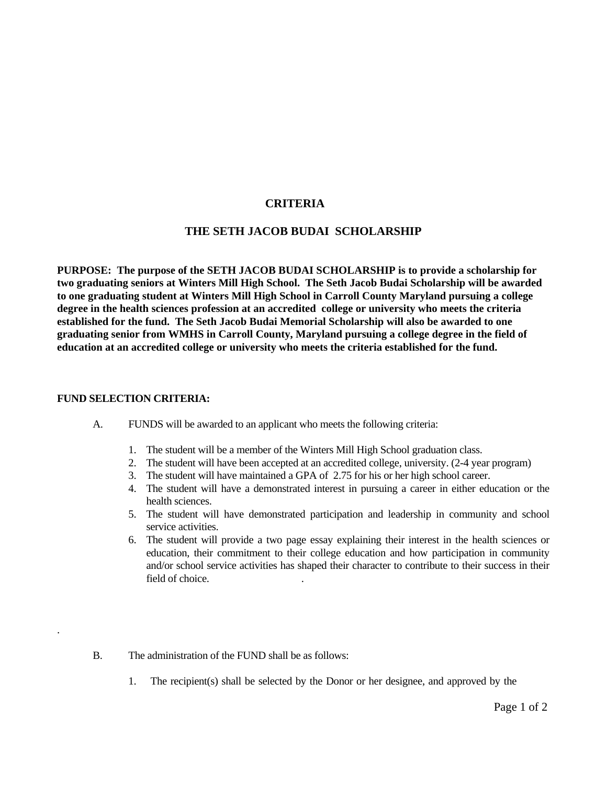# **CRITERIA**

## **THE SETH JACOB BUDAI SCHOLARSHIP**

**PURPOSE: The purpose of the SETH JACOB BUDAI SCHOLARSHIP is to provide a scholarship for two graduating seniors at Winters Mill High School. The Seth Jacob Budai Scholarship will be awarded to one graduating student at Winters Mill High School in Carroll County Maryland pursuing a college degree in the health sciences profession at an accredited college or university who meets the criteria established for the fund. The Seth Jacob Budai Memorial Scholarship will also be awarded to one graduating senior from WMHS in Carroll County, Maryland pursuing a college degree in the field of education at an accredited college or university who meets the criteria established for the fund.** 

### **FUND SELECTION CRITERIA:**

.

- A. FUNDS will be awarded to an applicant who meets the following criteria:
	- 1. The student will be a member of the Winters Mill High School graduation class.
	- 2. The student will have been accepted at an accredited college, university. (2-4 year program)
	- 3. The student will have maintained a GPA of 2.75 for his or her high school career.
	- 4. The student will have a demonstrated interest in pursuing a career in either education or the health sciences.
	- 5. The student will have demonstrated participation and leadership in community and school service activities.
	- 6. The student will provide a two page essay explaining their interest in the health sciences or education, their commitment to their college education and how participation in community and/or school service activities has shaped their character to contribute to their success in their field of choice. .
- B. The administration of the FUND shall be as follows:
	- 1. The recipient(s) shall be selected by the Donor or her designee, and approved by the